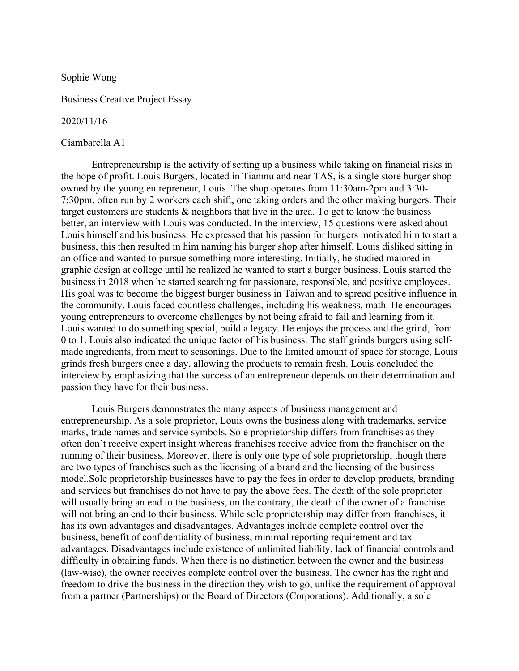Sophie Wong

Business Creative Project Essay

## 2020/11/16

## Ciambarella A1

Entrepreneurship is the activity of setting up a business while taking on financial risks in the hope of profit. Louis Burgers, located in Tianmu and near TAS, is a single store burger shop owned by the young entrepreneur, Louis. The shop operates from 11:30am-2pm and 3:30- 7:30pm, often run by 2 workers each shift, one taking orders and the other making burgers. Their target customers are students & neighbors that live in the area. To get to know the business better, an interview with Louis was conducted. In the interview, 15 questions were asked about Louis himself and his business. He expressed that his passion for burgers motivated him to start a business, this then resulted in him naming his burger shop after himself. Louis disliked sitting in an office and wanted to pursue something more interesting. Initially, he studied majored in graphic design at college until he realized he wanted to start a burger business. Louis started the business in 2018 when he started searching for passionate, responsible, and positive employees. His goal was to become the biggest burger business in Taiwan and to spread positive influence in the community. Louis faced countless challenges, including his weakness, math. He encourages young entrepreneurs to overcome challenges by not being afraid to fail and learning from it. Louis wanted to do something special, build a legacy. He enjoys the process and the grind, from 0 to 1. Louis also indicated the unique factor of his business. The staff grinds burgers using selfmade ingredients, from meat to seasonings. Due to the limited amount of space for storage, Louis grinds fresh burgers once a day, allowing the products to remain fresh. Louis concluded the interview by emphasizing that the success of an entrepreneur depends on their determination and passion they have for their business.

Louis Burgers demonstrates the many aspects of business management and entrepreneurship. As a sole proprietor, Louis owns the business along with trademarks, service marks, trade names and service symbols. Sole proprietorship differs from franchises as they often don't receive expert insight whereas franchises receive advice from the franchiser on the running of their business. Moreover, there is only one type of sole proprietorship, though there are two types of franchises such as the licensing of a brand and the licensing of the business model.Sole proprietorship businesses have to pay the fees in order to develop products, branding and services but franchises do not have to pay the above fees. The death of the sole proprietor will usually bring an end to the business, on the contrary, the death of the owner of a franchise will not bring an end to their business. While sole proprietorship may differ from franchises, it has its own advantages and disadvantages. Advantages include complete control over the business, benefit of confidentiality of business, minimal reporting requirement and tax advantages. Disadvantages include existence of unlimited liability, lack of financial controls and difficulty in obtaining funds. When there is no distinction between the owner and the business (law-wise), the owner receives complete control over the business. The owner has the right and freedom to drive the business in the direction they wish to go, unlike the requirement of approval from a partner (Partnerships) or the Board of Directors (Corporations). Additionally, a sole